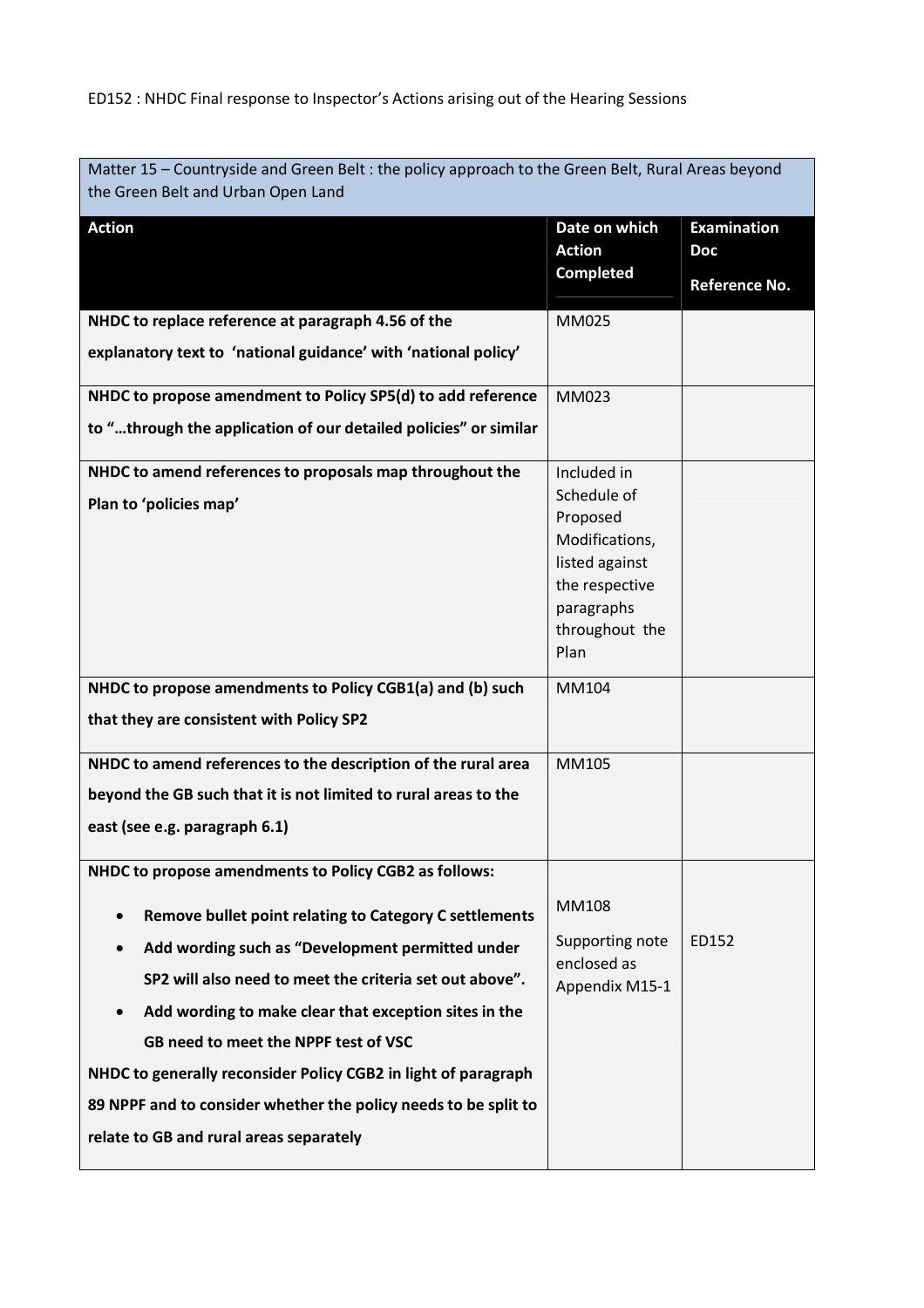| Matter 15 - Countryside and Green Belt : the policy approach to the Green Belt, Rural Areas beyond<br>the Green Belt and Urban Open Land                                                                                                                                                                                                                                                                                                                                                                                     |                                                                                                                                      |                                                   |  |
|------------------------------------------------------------------------------------------------------------------------------------------------------------------------------------------------------------------------------------------------------------------------------------------------------------------------------------------------------------------------------------------------------------------------------------------------------------------------------------------------------------------------------|--------------------------------------------------------------------------------------------------------------------------------------|---------------------------------------------------|--|
| <b>Action</b>                                                                                                                                                                                                                                                                                                                                                                                                                                                                                                                | Date on which<br><b>Action</b><br><b>Completed</b>                                                                                   | <b>Examination</b><br><b>Doc</b><br>Reference No. |  |
| NHDC to replace reference at paragraph 4.56 of the<br>explanatory text to 'national guidance' with 'national policy'                                                                                                                                                                                                                                                                                                                                                                                                         | MM025                                                                                                                                |                                                   |  |
| NHDC to propose amendment to Policy SP5(d) to add reference<br>to "through the application of our detailed policies" or similar                                                                                                                                                                                                                                                                                                                                                                                              | MM023                                                                                                                                |                                                   |  |
| NHDC to amend references to proposals map throughout the<br>Plan to 'policies map'                                                                                                                                                                                                                                                                                                                                                                                                                                           | Included in<br>Schedule of<br>Proposed<br>Modifications,<br>listed against<br>the respective<br>paragraphs<br>throughout the<br>Plan |                                                   |  |
| NHDC to propose amendments to Policy CGB1(a) and (b) such<br>that they are consistent with Policy SP2                                                                                                                                                                                                                                                                                                                                                                                                                        | MM104                                                                                                                                |                                                   |  |
| NHDC to amend references to the description of the rural area<br>beyond the GB such that it is not limited to rural areas to the<br>east (see e.g. paragraph 6.1)                                                                                                                                                                                                                                                                                                                                                            | MM105                                                                                                                                |                                                   |  |
| NHDC to propose amendments to Policy CGB2 as follows:<br>Remove bullet point relating to Category C settlements<br>$\bullet$<br>Add wording such as "Development permitted under<br>SP2 will also need to meet the criteria set out above".<br>Add wording to make clear that exception sites in the<br>GB need to meet the NPPF test of VSC<br>NHDC to generally reconsider Policy CGB2 in light of paragraph<br>89 NPPF and to consider whether the policy needs to be split to<br>relate to GB and rural areas separately | MM108<br>Supporting note<br>enclosed as<br>Appendix M15-1                                                                            | ED152                                             |  |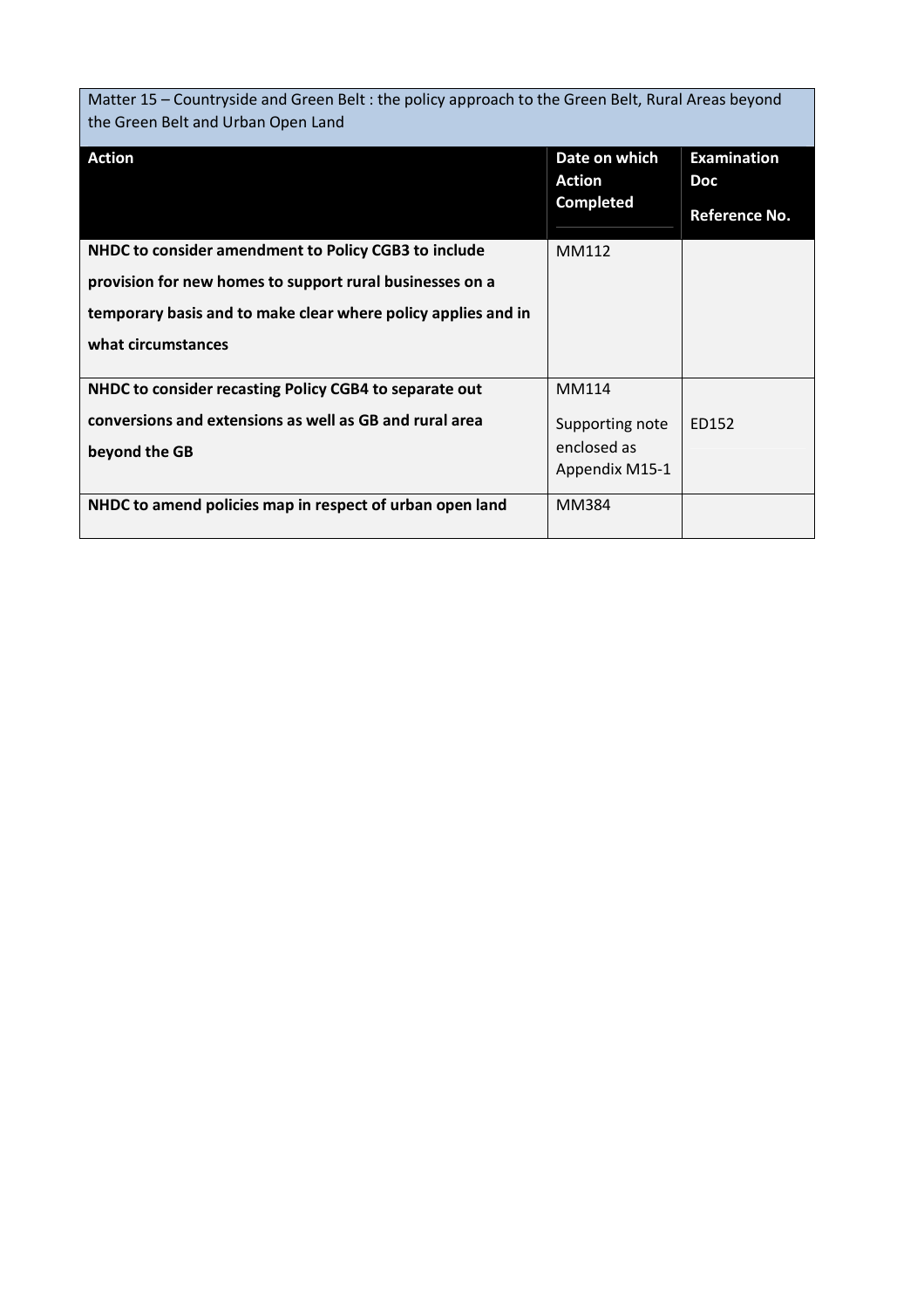Matter 15 – Countryside and Green Belt : the policy approach to the Green Belt, Rural Areas beyond the Green Belt and Urban Open Land

| <b>Action</b>                                                 | Date on which<br><b>Action</b><br><b>Completed</b> | <b>Examination</b><br><b>Doc</b><br>Reference No. |
|---------------------------------------------------------------|----------------------------------------------------|---------------------------------------------------|
| NHDC to consider amendment to Policy CGB3 to include          | MM112                                              |                                                   |
| provision for new homes to support rural businesses on a      |                                                    |                                                   |
| temporary basis and to make clear where policy applies and in |                                                    |                                                   |
| what circumstances                                            |                                                    |                                                   |
|                                                               |                                                    |                                                   |
| NHDC to consider recasting Policy CGB4 to separate out        | MM114                                              |                                                   |
| conversions and extensions as well as GB and rural area       | Supporting note                                    | ED152                                             |
| beyond the GB                                                 | enclosed as                                        |                                                   |
|                                                               | Appendix M15-1                                     |                                                   |
| NHDC to amend policies map in respect of urban open land      | MM384                                              |                                                   |
|                                                               |                                                    |                                                   |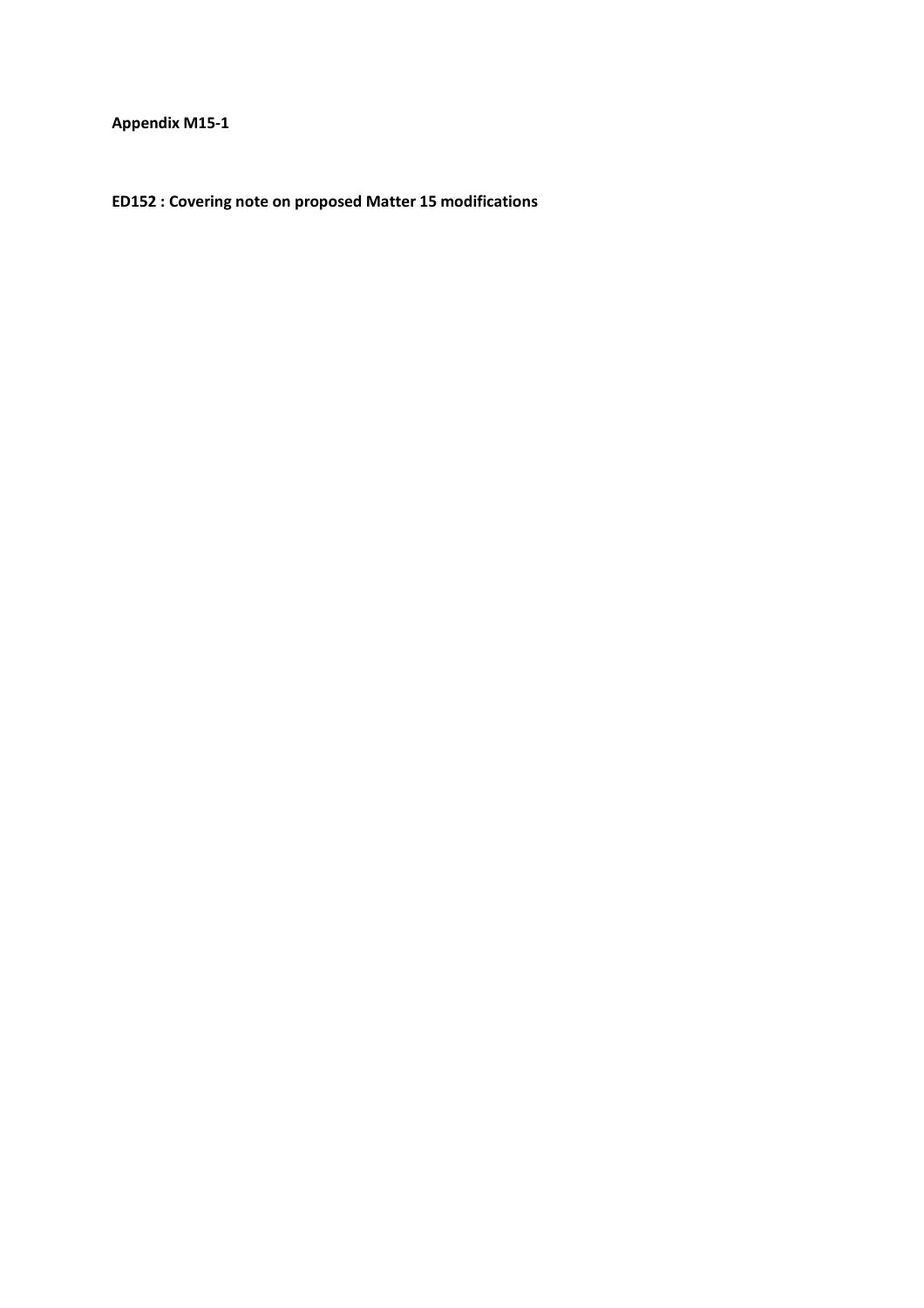**Appendix M15-1** 

**ED152 : Covering note on proposed Matter 15 modifications**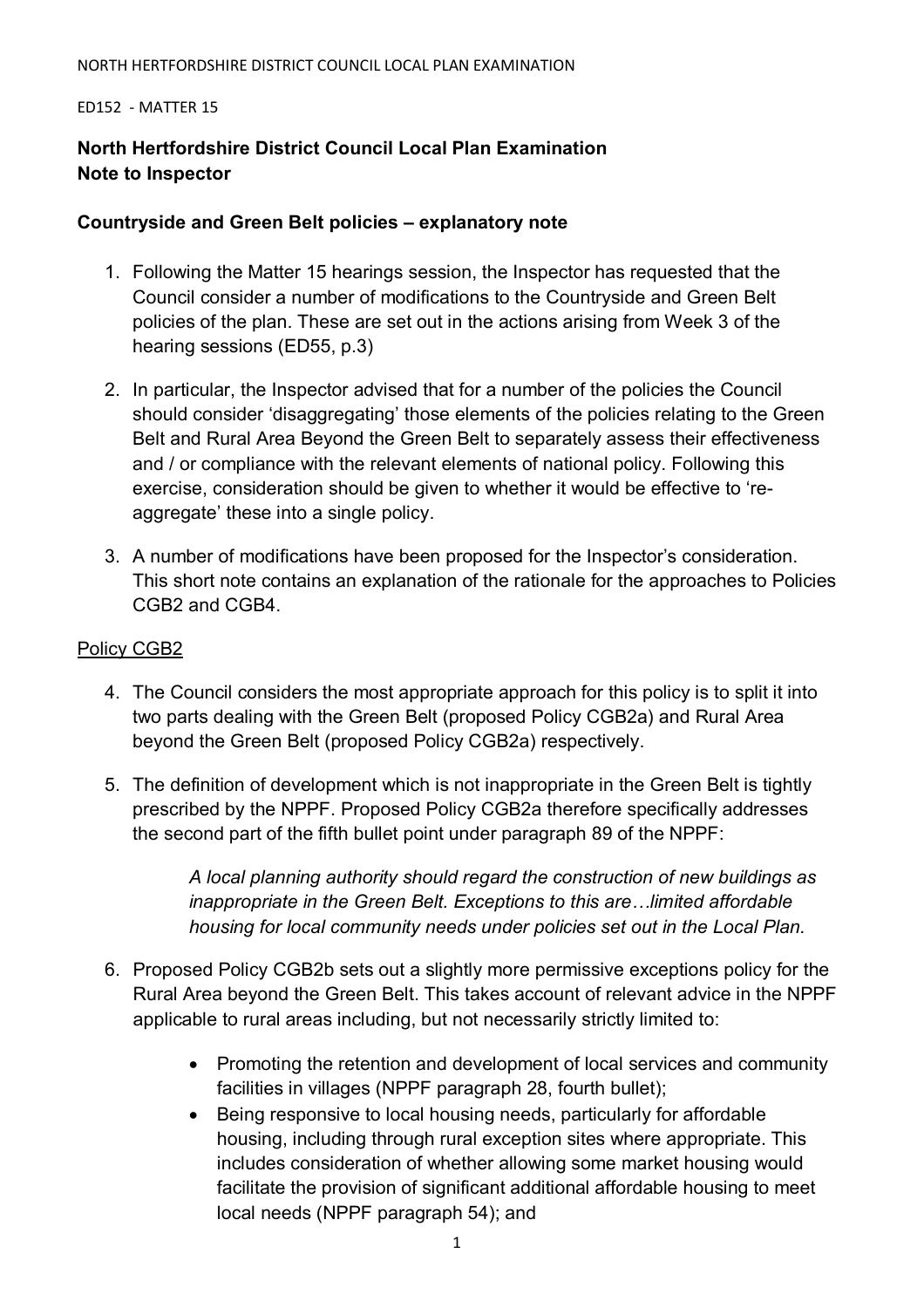### ED152 - MATTER 15

# **North Hertfordshire District Council Local Plan Examination Note to Inspector**

## **Countryside and Green Belt policies – explanatory note**

- 1. Following the Matter 15 hearings session, the Inspector has requested that the Council consider a number of modifications to the Countryside and Green Belt policies of the plan. These are set out in the actions arising from Week 3 of the hearing sessions (ED55, p.3)
- 2. In particular, the Inspector advised that for a number of the policies the Council should consider 'disaggregating' those elements of the policies relating to the Green Belt and Rural Area Beyond the Green Belt to separately assess their effectiveness and / or compliance with the relevant elements of national policy. Following this exercise, consideration should be given to whether it would be effective to 'reaggregate' these into a single policy.
- 3. A number of modifications have been proposed for the Inspector's consideration. This short note contains an explanation of the rationale for the approaches to Policies CGB2 and CGB4.

# Policy CGB2

- 4. The Council considers the most appropriate approach for this policy is to split it into two parts dealing with the Green Belt (proposed Policy CGB2a) and Rural Area beyond the Green Belt (proposed Policy CGB2a) respectively.
- 5. The definition of development which is not inappropriate in the Green Belt is tightly prescribed by the NPPF. Proposed Policy CGB2a therefore specifically addresses the second part of the fifth bullet point under paragraph 89 of the NPPF:

*A local planning authority should regard the construction of new buildings as inappropriate in the Green Belt. Exceptions to this are... limited affordable housing for local community needs under policies set out in the Local Plan.* 

- 6. Proposed Policy CGB2b sets out a slightly more permissive exceptions policy for the Rural Area beyond the Green Belt. This takes account of relevant advice in the NPPF applicable to rural areas including, but not necessarily strictly limited to:
	- Promoting the retention and development of local services and community facilities in villages (NPPF paragraph 28, fourth bullet);
	- Being responsive to local housing needs, particularly for affordable housing, including through rural exception sites where appropriate. This includes consideration of whether allowing some market housing would facilitate the provision of significant additional affordable housing to meet local needs (NPPF paragraph 54); and